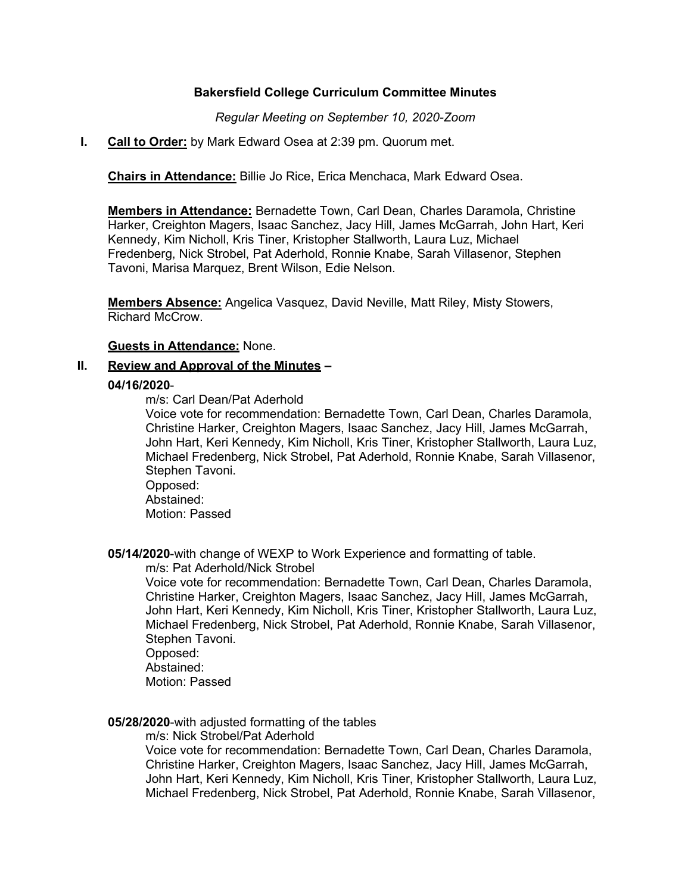## **Bakersfield College Curriculum Committee Minutes**

*Regular Meeting on September 10, 2020-Zoom*

### **I. Call to Order:** by Mark Edward Osea at 2:39 pm. Quorum met.

**Chairs in Attendance:** Billie Jo Rice, Erica Menchaca, Mark Edward Osea.

**Members in Attendance:** Bernadette Town, Carl Dean, Charles Daramola, Christine Harker, Creighton Magers, Isaac Sanchez, Jacy Hill, James McGarrah, John Hart, Keri Kennedy, Kim Nicholl, Kris Tiner, Kristopher Stallworth, Laura Luz, Michael Fredenberg, Nick Strobel, Pat Aderhold, Ronnie Knabe, Sarah Villasenor, Stephen Tavoni, Marisa Marquez, Brent Wilson, Edie Nelson.

**Members Absence:** Angelica Vasquez, David Neville, Matt Riley, Misty Stowers, Richard McCrow.

**Guests in Attendance:** None.

# **II. Review and Approval of the Minutes –**

### **04/16/2020**-

m/s: Carl Dean/Pat Aderhold

Voice vote for recommendation: Bernadette Town, Carl Dean, Charles Daramola, Christine Harker, Creighton Magers, Isaac Sanchez, Jacy Hill, James McGarrah, John Hart, Keri Kennedy, Kim Nicholl, Kris Tiner, Kristopher Stallworth, Laura Luz, Michael Fredenberg, Nick Strobel, Pat Aderhold, Ronnie Knabe, Sarah Villasenor, Stephen Tavoni.

Opposed: Abstained: Motion: Passed

**05/14/2020**-with change of WEXP to Work Experience and formatting of table.

m/s: Pat Aderhold/Nick Strobel

Voice vote for recommendation: Bernadette Town, Carl Dean, Charles Daramola, Christine Harker, Creighton Magers, Isaac Sanchez, Jacy Hill, James McGarrah, John Hart, Keri Kennedy, Kim Nicholl, Kris Tiner, Kristopher Stallworth, Laura Luz, Michael Fredenberg, Nick Strobel, Pat Aderhold, Ronnie Knabe, Sarah Villasenor, Stephen Tavoni.

Opposed: Abstained:

Motion: Passed

### **05/28/2020**-with adjusted formatting of the tables

m/s: Nick Strobel/Pat Aderhold

Voice vote for recommendation: Bernadette Town, Carl Dean, Charles Daramola, Christine Harker, Creighton Magers, Isaac Sanchez, Jacy Hill, James McGarrah, John Hart, Keri Kennedy, Kim Nicholl, Kris Tiner, Kristopher Stallworth, Laura Luz, Michael Fredenberg, Nick Strobel, Pat Aderhold, Ronnie Knabe, Sarah Villasenor,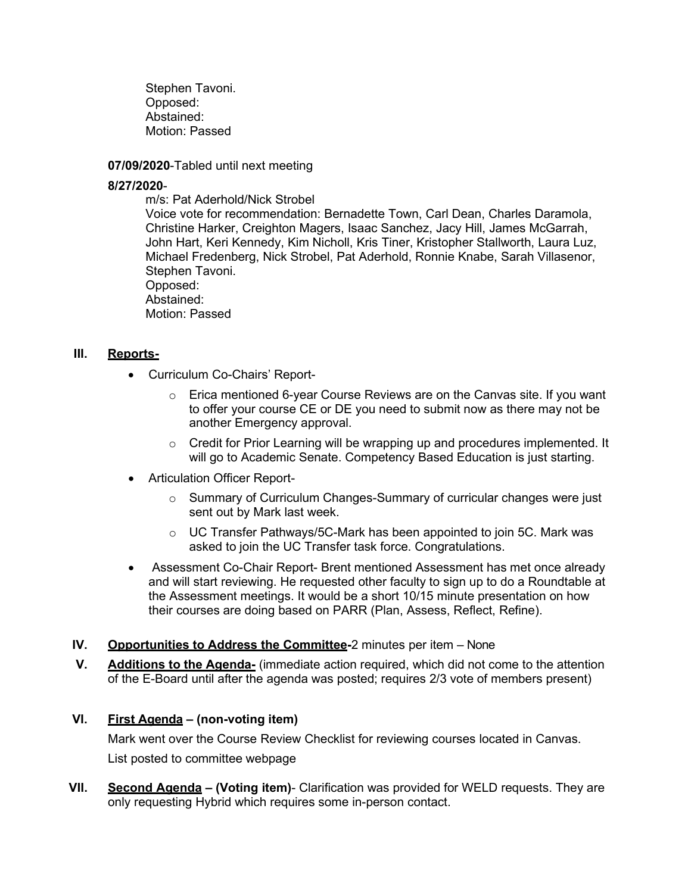Stephen Tavoni. Opposed: Abstained: Motion: Passed

**07/09/2020**-Tabled until next meeting

## **8/27/2020**-

m/s: Pat Aderhold/Nick Strobel

Voice vote for recommendation: Bernadette Town, Carl Dean, Charles Daramola, Christine Harker, Creighton Magers, Isaac Sanchez, Jacy Hill, James McGarrah, John Hart, Keri Kennedy, Kim Nicholl, Kris Tiner, Kristopher Stallworth, Laura Luz, Michael Fredenberg, Nick Strobel, Pat Aderhold, Ronnie Knabe, Sarah Villasenor, Stephen Tavoni.

Opposed: Abstained:

Motion: Passed

## **III. Reports-**

- Curriculum Co-Chairs' Report-
	- $\circ$  Erica mentioned 6-year Course Reviews are on the Canvas site. If you want to offer your course CE or DE you need to submit now as there may not be another Emergency approval.
	- $\circ$  Credit for Prior Learning will be wrapping up and procedures implemented. It will go to Academic Senate. Competency Based Education is just starting.
- Articulation Officer Report-
	- $\circ$  Summary of Curriculum Changes-Summary of curricular changes were just sent out by Mark last week.
	- o UC Transfer Pathways/5C-Mark has been appointed to join 5C. Mark was asked to join the UC Transfer task force. Congratulations.
- Assessment Co-Chair Report- Brent mentioned Assessment has met once already and will start reviewing. He requested other faculty to sign up to do a Roundtable at the Assessment meetings. It would be a short 10/15 minute presentation on how their courses are doing based on PARR (Plan, Assess, Reflect, Refine).
- **IV. Opportunities to Address the Committee-**2 minutes per item None
- **V. Additions to the Agenda-** (immediate action required, which did not come to the attention of the E-Board until after the agenda was posted; requires 2/3 vote of members present)

# **VI. First Agenda – (non-voting item)**

Mark went over the Course Review Checklist for reviewing courses located in Canvas. List posted to committee webpage

**VII. Second Agenda – (Voting item)**- Clarification was provided for WELD requests. They are only requesting Hybrid which requires some in-person contact.